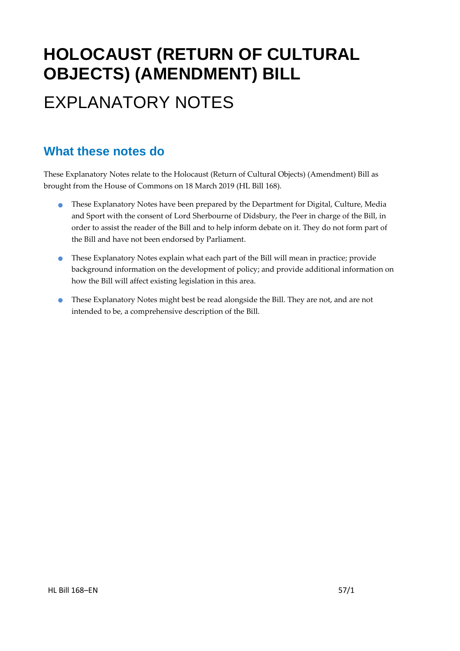# **HOLOCAUST (RETURN OF CULTURAL OBJECTS) (AMENDMENT) BILL** EXPLANATORY NOTES

### **What these notes do**

These Explanatory Notes relate to the Holocaust (Return of Cultural Objects) (Amendment) Bill as brought from the House of Commons on 18 March 2019 (HL Bill 168).

- These Explanatory Notes have been prepared by the Department for Digital, Culture, Media and Sport with the consent of Lord Sherbourne of Didsbury, the Peer in charge of the Bill, in order to assist the reader of the Bill and to help inform debate on it. They do not form part of the Bill and have not been endorsed by Parliament.
- These Explanatory Notes explain what each part of the Bill will mean in practice; provide background information on the development of policy; and provide additional information on how the Bill will affect existing legislation in this area.
- These Explanatory Notes might best be read alongside the Bill. They are not, and are not intended to be, a comprehensive description of the Bill.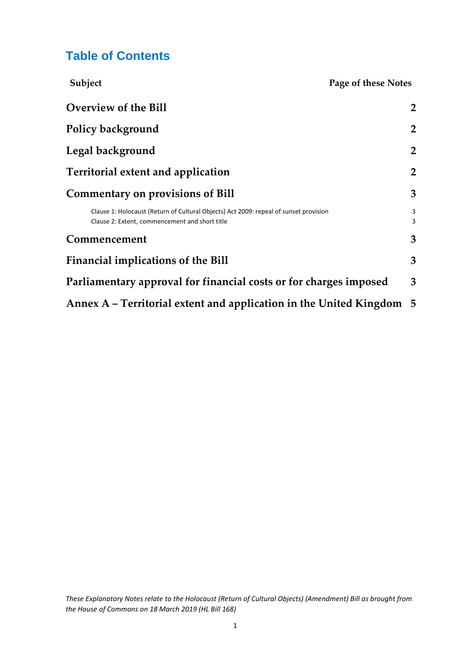### **Table of Contents**

| Subject                                                                                                                                 | Page of these Notes |
|-----------------------------------------------------------------------------------------------------------------------------------------|---------------------|
| <b>Overview of the Bill</b>                                                                                                             | $\overline{2}$      |
| Policy background                                                                                                                       | $\overline{2}$      |
| Legal background                                                                                                                        | $\overline{2}$      |
| Territorial extent and application                                                                                                      | $\overline{2}$      |
| <b>Commentary on provisions of Bill</b>                                                                                                 | 3                   |
| Clause 1: Holocaust (Return of Cultural Objects) Act 2009: repeal of sunset provision<br>Clause 2: Extent, commencement and short title | 3<br>3              |
| Commencement                                                                                                                            | 3                   |
| Financial implications of the Bill                                                                                                      | 3                   |
| Parliamentary approval for financial costs or for charges imposed                                                                       | 3                   |
| Annex A – Territorial extent and application in the United Kingdom                                                                      | - 5                 |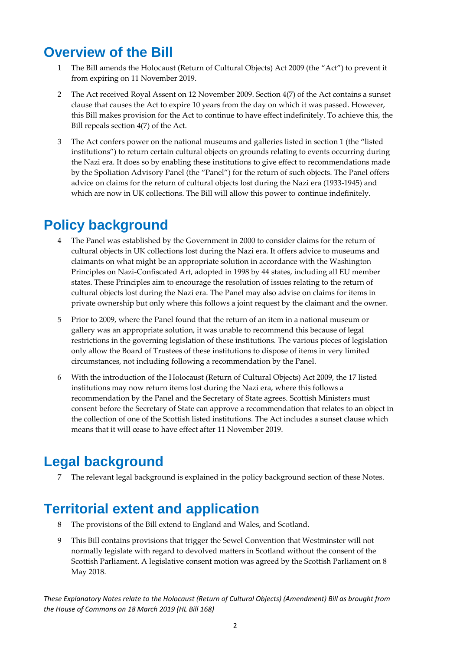### <span id="page-2-0"></span>**Overview of the Bill**

- 1 The Bill amends the Holocaust (Return of Cultural Objects) Act 2009 (the "Act") to prevent it from expiring on 11 November 2019.
- 2 The Act received Royal Assent on 12 November 2009. Section 4(7) of the Act contains a sunset clause that causes the Act to expire 10 years from the day on which it was passed. However, this Bill makes provision for the Act to continue to have effect indefinitely. To achieve this, the Bill repeals section 4(7) of the Act.
- 3 The Act confers power on the national museums and galleries listed in section 1 (the "listed institutions") to return certain cultural objects on grounds relating to events occurring during the Nazi era. It does so by enabling these institutions to give effect to recommendations made by the Spoliation Advisory Panel (the "Panel") for the return of such objects. The Panel offers advice on claims for the return of cultural objects lost during the Nazi era (1933-1945) and which are now in UK collections. The Bill will allow this power to continue indefinitely.

### <span id="page-2-1"></span>**Policy background**

- 4 The Panel was established by the Government in 2000 to consider claims for the return of cultural objects in UK collections lost during the Nazi era. It offers advice to museums and claimants on what might be an appropriate solution in accordance with the Washington Principles on Nazi-Confiscated Art, adopted in 1998 by 44 states, including all EU member states. These Principles aim to encourage the resolution of issues relating to the return of cultural objects lost during the Nazi era. The Panel may also advise on claims for items in private ownership but only where this follows a joint request by the claimant and the owner.
- 5 Prior to 2009, where the Panel found that the return of an item in a national museum or gallery was an appropriate solution, it was unable to recommend this because of legal restrictions in the governing legislation of these institutions. The various pieces of legislation only allow the Board of Trustees of these institutions to dispose of items in very limited circumstances, not including following a recommendation by the Panel.
- 6 With the introduction of the Holocaust (Return of Cultural Objects) Act 2009, the 17 listed institutions may now return items lost during the Nazi era, where this follows a recommendation by the Panel and the Secretary of State agrees. Scottish Ministers must consent before the Secretary of State can approve a recommendation that relates to an object in the collection of one of the Scottish listed institutions. The Act includes a sunset clause which means that it will cease to have effect after 11 November 2019.

### <span id="page-2-2"></span>**Legal background**

7 The relevant legal background is explained in the policy background section of these Notes.

### <span id="page-2-3"></span>**Territorial extent and application**

- 8 The provisions of the Bill extend to England and Wales, and Scotland.
- 9 This Bill contains provisions that trigger the Sewel Convention that Westminster will not normally legislate with regard to devolved matters in Scotland without the consent of the Scottish Parliament. A legislative consent motion was agreed by the Scottish Parliament on 8 May 2018.

*These Explanatory Notes relate to the Holocaust (Return of Cultural Objects) (Amendment) Bill as brought from the House of Commons on 18 March 2019 (HL Bill 168)*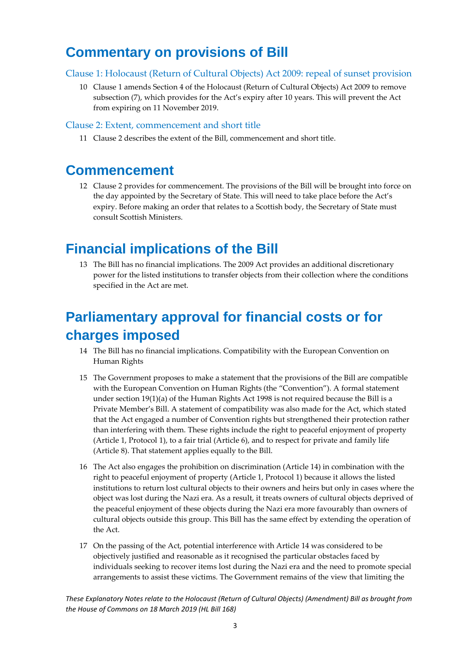### <span id="page-3-0"></span>**Commentary on provisions of Bill**

#### <span id="page-3-1"></span>Clause 1: Holocaust (Return of Cultural Objects) Act 2009: repeal of sunset provision

10 Clause 1 amends Section 4 of the Holocaust (Return of Cultural Objects) Act 2009 to remove subsection (7), which provides for the Act's expiry after 10 years. This will prevent the Act from expiring on 11 November 2019.

#### <span id="page-3-2"></span>Clause 2: Extent, commencement and short title

11 Clause 2 describes the extent of the Bill, commencement and short title.

### <span id="page-3-3"></span>**Commencement**

12 Clause 2 provides for commencement. The provisions of the Bill will be brought into force on the day appointed by the Secretary of State. This will need to take place before the Act's expiry. Before making an order that relates to a Scottish body, the Secretary of State must consult Scottish Ministers.

### <span id="page-3-4"></span>**Financial implications of the Bill**

13 The Bill has no financial implications. The 2009 Act provides an additional discretionary power for the listed institutions to transfer objects from their collection where the conditions specified in the Act are met.

### <span id="page-3-5"></span>**Parliamentary approval for financial costs or for charges imposed**

- 14 The Bill has no financial implications. Compatibility with the European Convention on Human Rights
- 15 The Government proposes to make a statement that the provisions of the Bill are compatible with the European Convention on Human Rights (the "Convention"). A formal statement under section  $19(1)(a)$  of the Human Rights Act 1998 is not required because the Bill is a Private Member's Bill. A statement of compatibility was also made for the Act, which stated that the Act engaged a number of Convention rights but strengthened their protection rather than interfering with them. These rights include the right to peaceful enjoyment of property (Article 1, Protocol 1), to a fair trial (Article 6), and to respect for private and family life (Article 8). That statement applies equally to the Bill.
- 16 The Act also engages the prohibition on discrimination (Article 14) in combination with the right to peaceful enjoyment of property (Article 1, Protocol 1) because it allows the listed institutions to return lost cultural objects to their owners and heirs but only in cases where the object was lost during the Nazi era. As a result, it treats owners of cultural objects deprived of the peaceful enjoyment of these objects during the Nazi era more favourably than owners of cultural objects outside this group. This Bill has the same effect by extending the operation of the Act.
- 17 On the passing of the Act, potential interference with Article 14 was considered to be objectively justified and reasonable as it recognised the particular obstacles faced by individuals seeking to recover items lost during the Nazi era and the need to promote special arrangements to assist these victims. The Government remains of the view that limiting the

*These Explanatory Notes relate to the Holocaust (Return of Cultural Objects) (Amendment) Bill as brought from the House of Commons on 18 March 2019 (HL Bill 168)*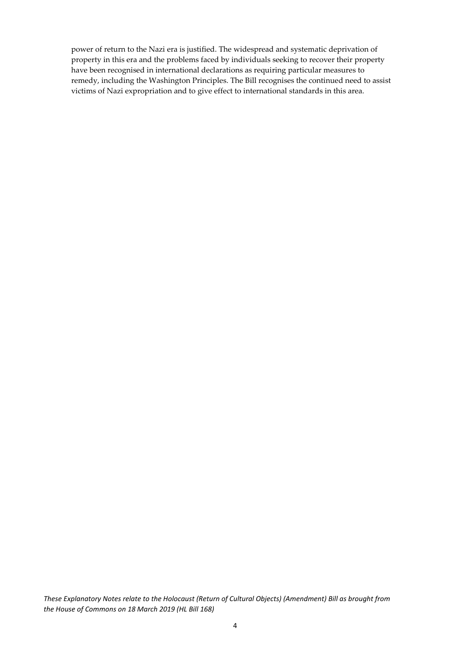power of return to the Nazi era is justified. The widespread and systematic deprivation of property in this era and the problems faced by individuals seeking to recover their property have been recognised in international declarations as requiring particular measures to remedy, including the Washington Principles. The Bill recognises the continued need to assist victims of Nazi expropriation and to give effect to international standards in this area.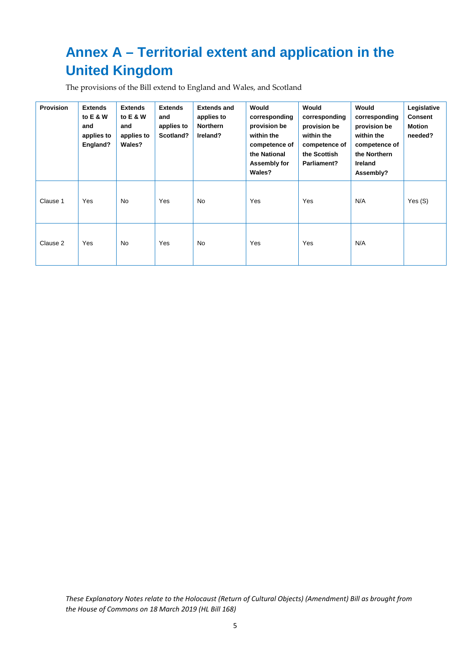## <span id="page-5-0"></span>**Annex A – Territorial extent and application in the United Kingdom**

The provisions of the Bill extend to England and Wales, and Scotland

| <b>Provision</b> | <b>Extends</b><br>to E & W<br>and<br>applies to<br>England? | <b>Extends</b><br>to E & W<br>and<br>applies to<br>Wales? | <b>Extends</b><br>and<br>applies to<br>Scotland? | <b>Extends and</b><br>applies to<br>Northern<br>Ireland? | Would<br>corresponding<br>provision be<br>within the<br>competence of<br>the National<br>Assembly for<br>Wales? | Would<br>corresponding<br>provision be<br>within the<br>competence of<br>the Scottish<br>Parliament? | Would<br>corresponding<br>provision be<br>within the<br>competence of<br>the Northern<br><b>Ireland</b><br>Assembly? | Legislative<br><b>Consent</b><br><b>Motion</b><br>needed? |
|------------------|-------------------------------------------------------------|-----------------------------------------------------------|--------------------------------------------------|----------------------------------------------------------|-----------------------------------------------------------------------------------------------------------------|------------------------------------------------------------------------------------------------------|----------------------------------------------------------------------------------------------------------------------|-----------------------------------------------------------|
| Clause 1         | Yes                                                         | <b>No</b>                                                 | Yes                                              | No                                                       | Yes                                                                                                             | Yes                                                                                                  | N/A                                                                                                                  | Yes(S)                                                    |
| Clause 2         | Yes                                                         | <b>No</b>                                                 | Yes                                              | <b>No</b>                                                | Yes                                                                                                             | Yes                                                                                                  | N/A                                                                                                                  |                                                           |

*These Explanatory Notes relate to the Holocaust (Return of Cultural Objects) (Amendment) Bill as brought from the House of Commons on 18 March 2019 (HL Bill 168)*